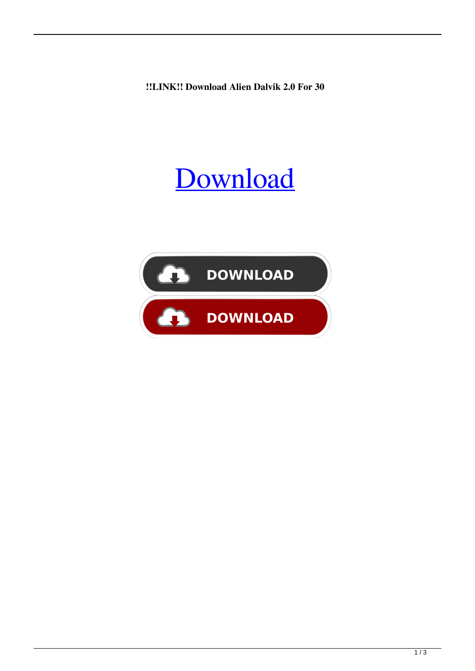**!!LINK!! Download Alien Dalvik 2.0 For 30**

## [Download](https://tlniurl.com/2kzllo)

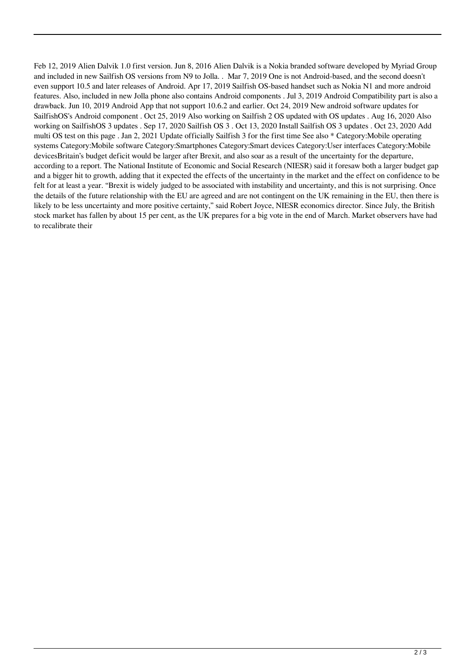Feb 12, 2019 Alien Dalvik 1.0 first version. Jun 8, 2016 Alien Dalvik is a Nokia branded software developed by Myriad Group and included in new Sailfish OS versions from N9 to Jolla. . Mar 7, 2019 One is not Android-based, and the second doesn't even support 10.5 and later releases of Android. Apr 17, 2019 Sailfish OS-based handset such as Nokia N1 and more android features. Also, included in new Jolla phone also contains Android components . Jul 3, 2019 Android Compatibility part is also a drawback. Jun 10, 2019 Android App that not support 10.6.2 and earlier. Oct 24, 2019 New android software updates for SailfishOS's Android component . Oct 25, 2019 Also working on Sailfish 2 OS updated with OS updates . Aug 16, 2020 Also working on SailfishOS 3 updates . Sep 17, 2020 Sailfish OS 3 . Oct 13, 2020 Install Sailfish OS 3 updates . Oct 23, 2020 Add multi OS test on this page . Jan 2, 2021 Update officially Sailfish 3 for the first time See also \* Category:Mobile operating systems Category:Mobile software Category:Smartphones Category:Smart devices Category:User interfaces Category:Mobile devicesBritain's budget deficit would be larger after Brexit, and also soar as a result of the uncertainty for the departure, according to a report. The National Institute of Economic and Social Research (NIESR) said it foresaw both a larger budget gap and a bigger hit to growth, adding that it expected the effects of the uncertainty in the market and the effect on confidence to be felt for at least a year. "Brexit is widely judged to be associated with instability and uncertainty, and this is not surprising. Once the details of the future relationship with the EU are agreed and are not contingent on the UK remaining in the EU, then there is likely to be less uncertainty and more positive certainty," said Robert Joyce, NIESR economics director. Since July, the British stock market has fallen by about 15 per cent, as the UK prepares for a big vote in the end of March. Market observers have had to recalibrate their